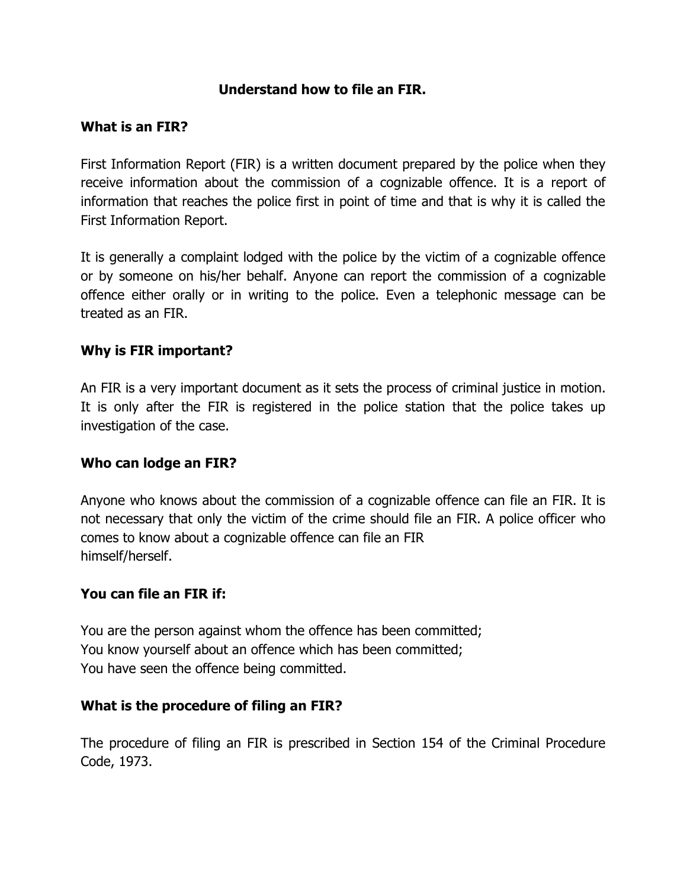### **Understand how to file an FIR.**

#### **What is an FIR?**

First Information Report (FIR) is a written document prepared by the police when they receive information about the commission of a cognizable offence. It is a report of information that reaches the police first in point of time and that is why it is called the First Information Report.

It is generally a complaint lodged with the police by the victim of a cognizable offence or by someone on his/her behalf. Anyone can report the commission of a cognizable offence either orally or in writing to the police. Even a telephonic message can be treated as an FIR.

#### **Why is FIR important?**

An FIR is a very important document as it sets the process of criminal justice in motion. It is only after the FIR is registered in the police station that the police takes up investigation of the case.

#### **Who can lodge an FIR?**

Anyone who knows about the commission of a cognizable offence can file an FIR. It is not necessary that only the victim of the crime should file an FIR. A police officer who comes to know about a cognizable offence can file an FIR himself/herself.

#### **You can file an FIR if:**

You are the person against whom the offence has been committed; You know yourself about an offence which has been committed; You have seen the offence being committed.

#### **What is the procedure of filing an FIR?**

The procedure of filing an FIR is prescribed in Section 154 of the Criminal Procedure Code, 1973.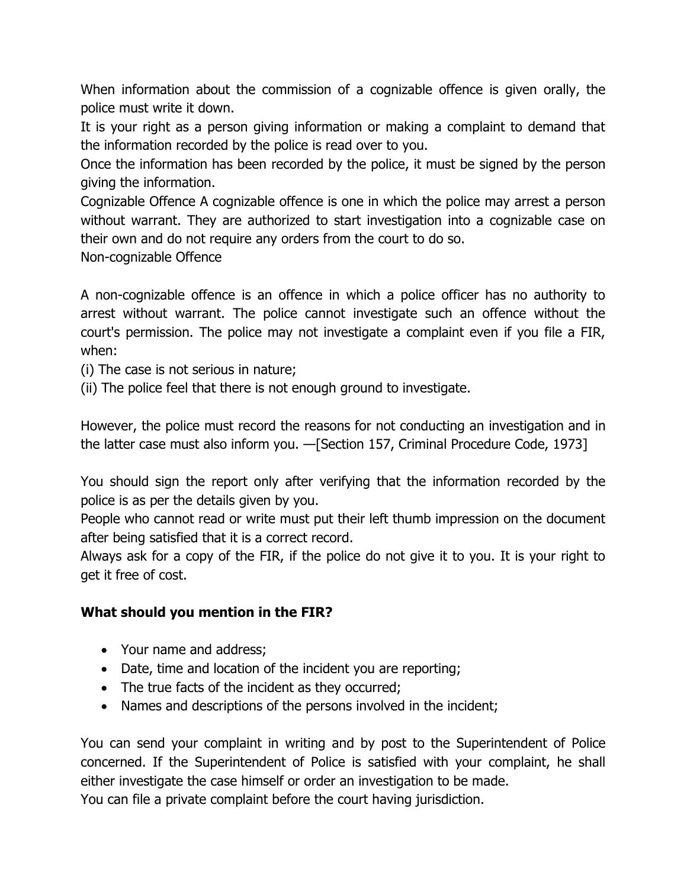When information about the commission of a cognizable offence is given orally, the police must write it down.

It is your right as a person giving information or making a complaint to demand that the information recorded by the police is read over to you.

Once the information has been recorded by the police, it must be signed by the person giving the information.

Cognizable Offence A cognizable offence is one in which the police may arrest a person without warrant. They are authorized to start investigation into a cognizable case on their own and do not require any orders from the court to do so.

Non-cognizable Offence

A non-cognizable offence is an offence in which a police officer has no authority to arrest without warrant. The police cannot investigate such an offence without the court's permission. The police may not investigate a complaint even if you file a FIR, when:

(i) The case is not serious in nature;

(ii) The police feel that there is not enough ground to investigate.

However, the police must record the reasons for not conducting an investigation and in the latter case must also inform you. —[Section 157, Criminal Procedure Code, 1973]

You should sign the report only after verifying that the information recorded by the police is as per the details given by you.

People who cannot read or write must put their left thumb impression on the document after being satisfied that it is a correct record.

Always ask for a copy of the FIR, if the police do not give it to you. It is your right to get it free of cost.

#### **What should you mention in the FIR?**

- Your name and address;
- Date, time and location of the incident you are reporting;
- The true facts of the incident as they occurred;
- Names and descriptions of the persons involved in the incident;

You can send your complaint in writing and by post to the Superintendent of Police concerned. If the Superintendent of Police is satisfied with your complaint, he shall either investigate the case himself or order an investigation to be made.

You can file a private complaint before the court having jurisdiction.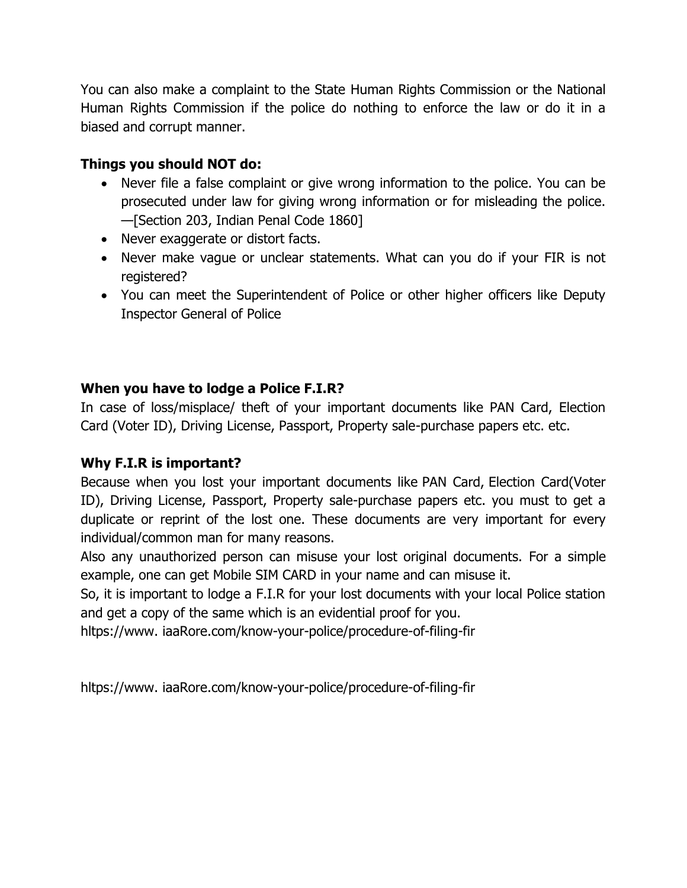You can also make a complaint to the State Human Rights Commission or the National Human Rights Commission if the police do nothing to enforce the law or do it in a biased and corrupt manner.

## **Things you should NOT do:**

- Never file a false complaint or give wrong information to the police. You can be prosecuted under law for giving wrong information or for misleading the police. —[Section 203, Indian Penal Code 1860]
- Never exaggerate or distort facts.
- Never make vague or unclear statements. What can you do if your FIR is not registered?
- You can meet the Superintendent of Police or other higher officers like Deputy Inspector General of Police

# **When you have to lodge a Police F.I.R?**

In case of loss/misplace/ theft of your important documents like PAN Card, Election Card (Voter ID), Driving License, Passport, Property sale-purchase papers etc. etc.

## **Why F.I.R is important?**

Because when you lost your important documents like PAN Card, Election Card(Voter ID), Driving License, Passport, Property sale-purchase papers etc. you must to get a duplicate or reprint of the lost one. These documents are very important for every individual/common man for many reasons.

Also any unauthorized person can misuse your lost original documents. For a simple example, one can get Mobile SIM CARD in your name and can misuse it.

So, it is important to lodge a F.I.R for your lost documents with your local Police station and get a copy of the same which is an evidential proof for you.

hltps://www. iaaRore.com/know-your-police/procedure-of-filing-fir

hltps://www. iaaRore.com/know-your-police/procedure-of-filing-fir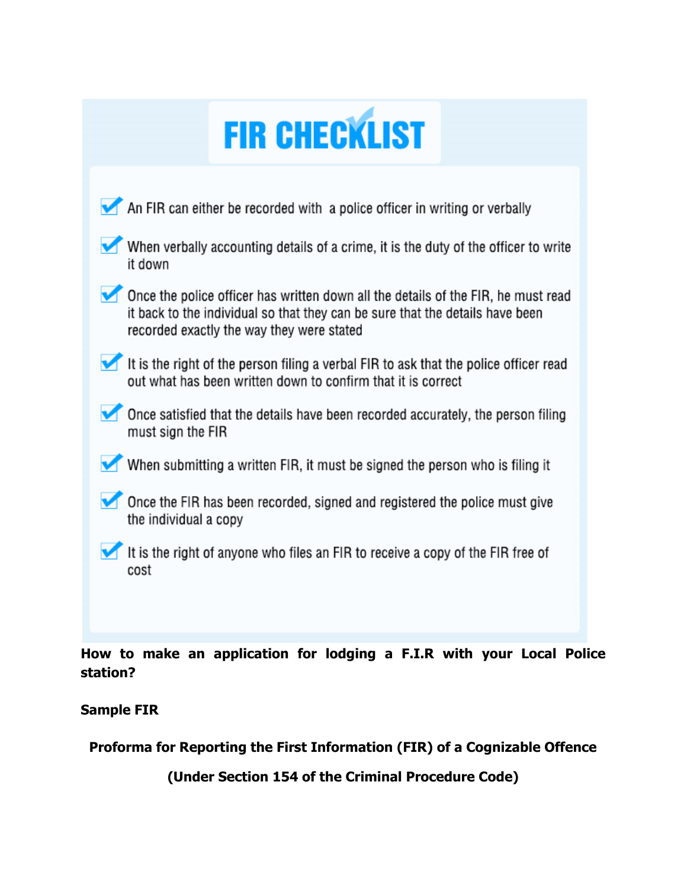| <b>FIR CHECKLIST</b> |  |
|----------------------|--|
|                      |  |

| An FIR can either be recorded with a police officer in writing or verbally                                                                                                                                      |
|-----------------------------------------------------------------------------------------------------------------------------------------------------------------------------------------------------------------|
| When verbally accounting details of a crime, it is the duty of the officer to write<br>it down                                                                                                                  |
| Once the police officer has written down all the details of the FIR, he must read<br>it back to the individual so that they can be sure that the details have been<br>recorded exactly the way they were stated |
| It is the right of the person filing a verbal FIR to ask that the police officer read<br>out what has been written down to confirm that it is correct                                                           |
| Once satisfied that the details have been recorded accurately, the person filing<br>must sign the FIR                                                                                                           |
| When submitting a written FIR, it must be signed the person who is filing it                                                                                                                                    |
| Once the FIR has been recorded, signed and registered the police must give<br>the individual a copy                                                                                                             |
| It is the right of anyone who files an FIR to receive a copy of the FIR free of<br>cost                                                                                                                         |
|                                                                                                                                                                                                                 |

**How to make an application for lodging a F.I.R with your Local Police station?**

**Sample FIR** 

**Proforma for Reporting the First Information (FIR) of a Cognizable Offence**

**(Under Section 154 of the Criminal Procedure Code)**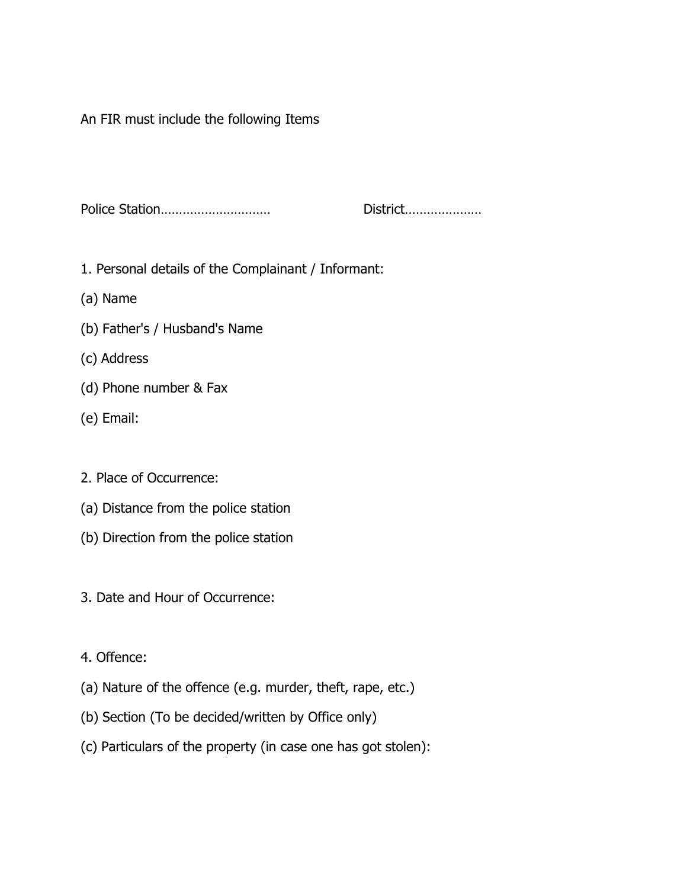An FIR must include the following Items

Police Station………………………… District…………………

- 1. Personal details of the Complainant / Informant:
- (a) Name
- (b) Father's / Husband's Name
- (c) Address
- (d) Phone number & Fax
- (e) Email:
- 2. Place of Occurrence:
- (a) Distance from the police station
- (b) Direction from the police station
- 3. Date and Hour of Occurrence:
- 4. Offence:
- (a) Nature of the offence (e.g. murder, theft, rape, etc.)
- (b) Section (To be decided/written by Office only)
- (c) Particulars of the property (in case one has got stolen):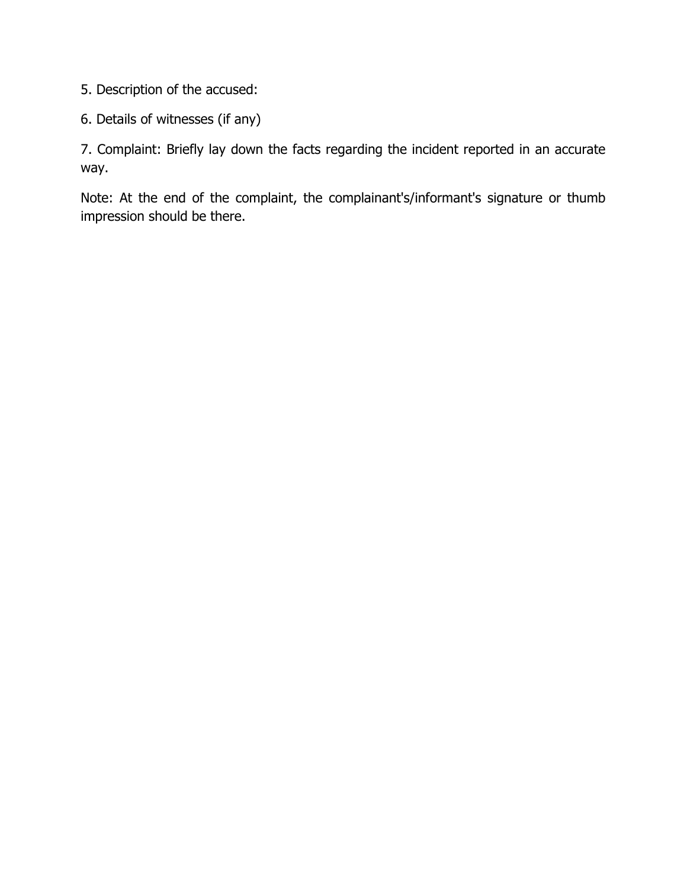5. Description of the accused:

6. Details of witnesses (if any)

7. Complaint: Briefly lay down the facts regarding the incident reported in an accurate way.

Note: At the end of the complaint, the complainant's/informant's signature or thumb impression should be there.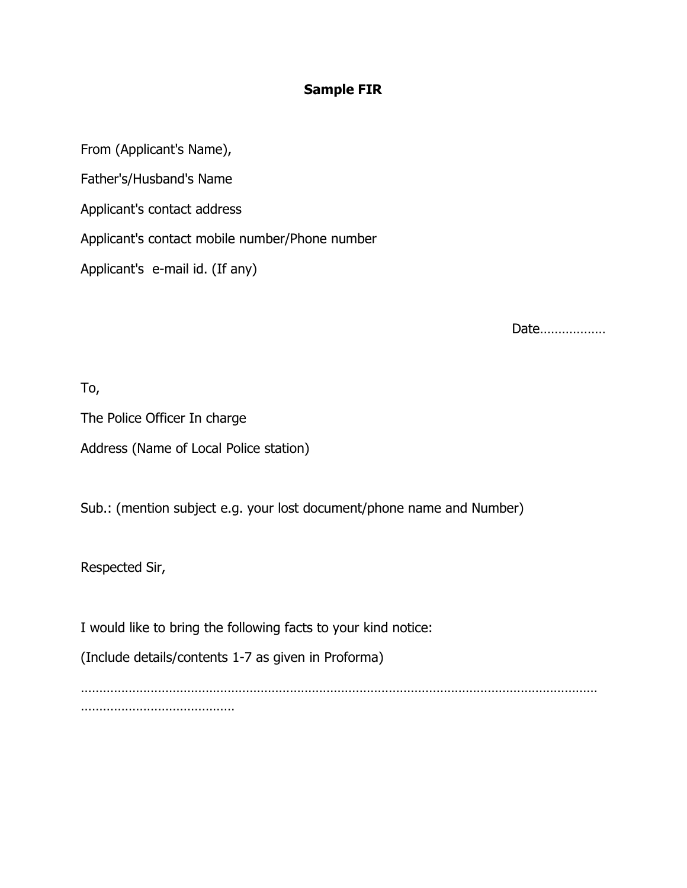### **Sample FIR**

From (Applicant's Name),

Father's/Husband's Name

Applicant's contact address

Applicant's contact mobile number/Phone number

Applicant's e-mail id. (If any)

Date………………

To,

The Police Officer In charge Address (Name of Local Police station)

Sub.: (mention subject e.g. your lost document/phone name and Number)

Respected Sir,

I would like to bring the following facts to your kind notice:

(Include details/contents 1-7 as given in Proforma)

…………………………………………………………………………………………………………………………… ……………………………………………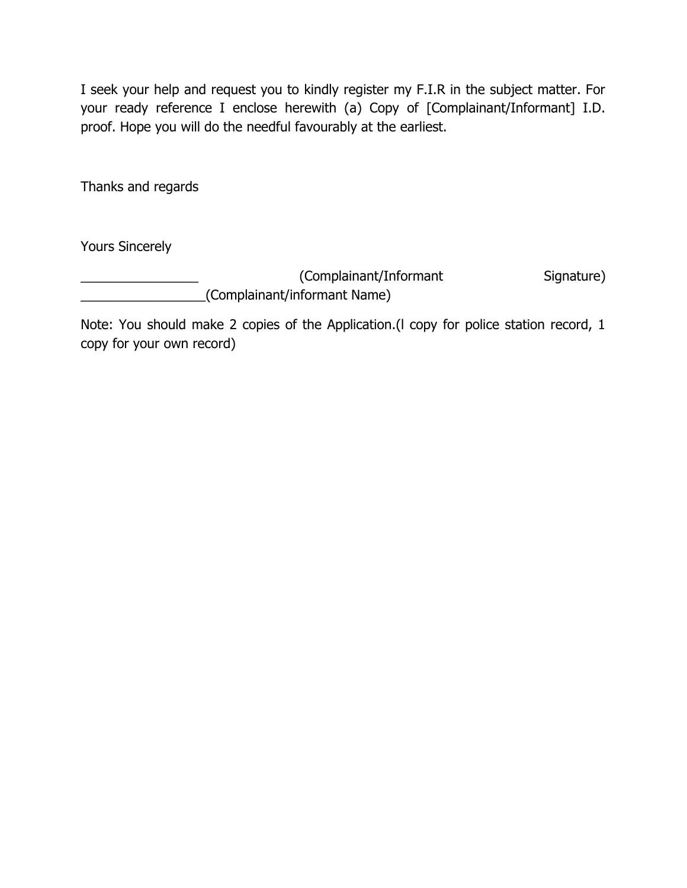I seek your help and request you to kindly register my F.I.R in the subject matter. For your ready reference I enclose herewith (a) Copy of [Complainant/Informant] I.D. proof. Hope you will do the needful favourably at the earliest.

Thanks and regards

Yours Sincerely

\_\_\_\_\_\_\_\_\_\_\_\_\_\_\_\_ (Complainant/Informant Signature) \_\_\_\_\_\_\_\_\_\_\_\_\_\_\_\_\_(Complainant/informant Name)

Note: You should make 2 copies of the Application.(l copy for police station record, 1 copy for your own record)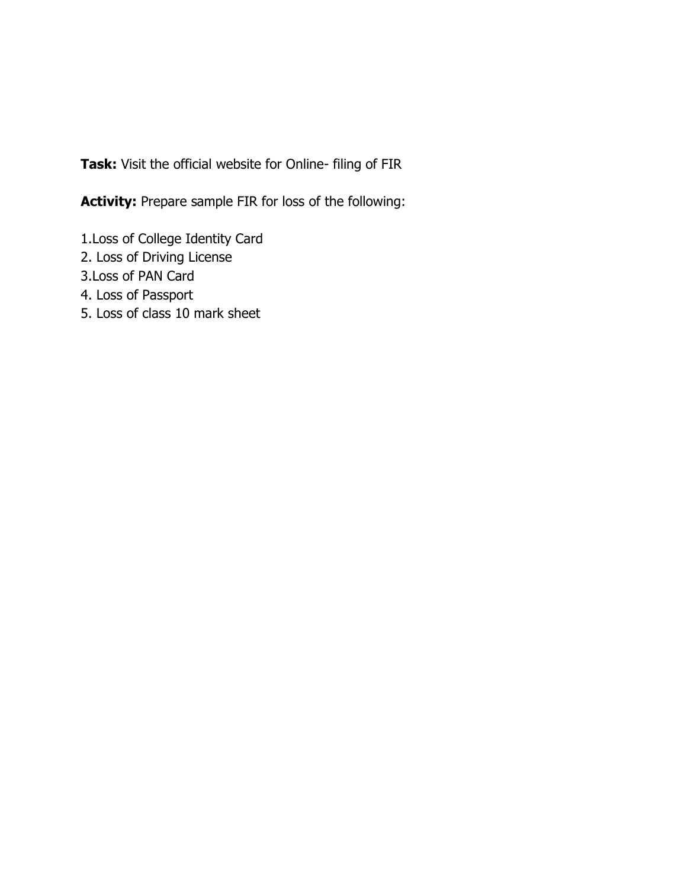**Task:** Visit the official website for Online- filing of FIR

**Activity:** Prepare sample FIR for loss of the following:

- 1.Loss of College Identity Card
- 2. Loss of Driving License
- 3.Loss of PAN Card
- 4. Loss of Passport
- 5. Loss of class 10 mark sheet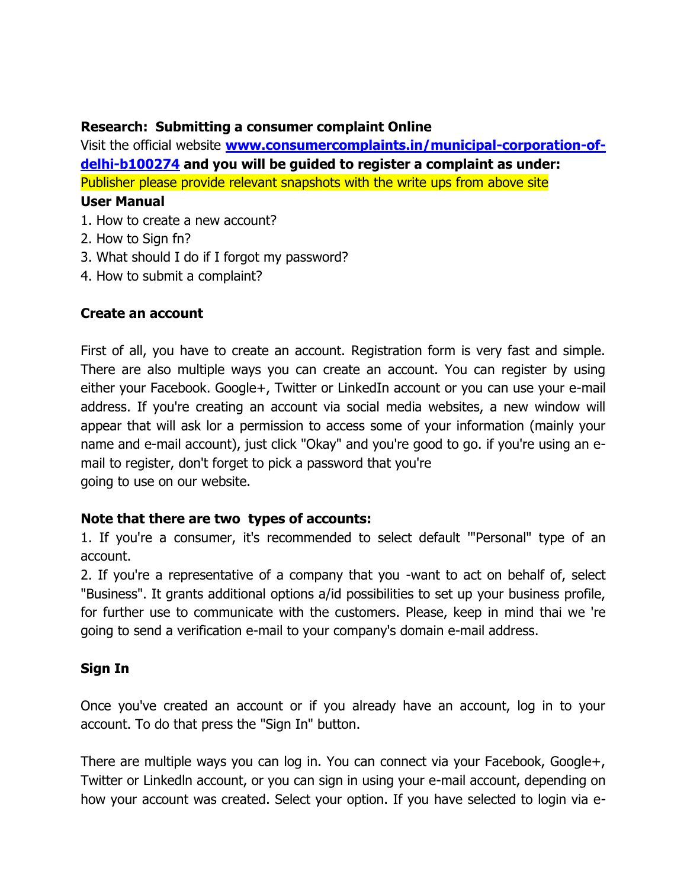### **Research: Submitting a consumer complaint Online**

Visit the official website **[www.consumercomplaints.in/municipal-corporation-of](http://www.consumercomplaints.in/municipal-corporation-of-delhi-b100274)[delhi-b100274](http://www.consumercomplaints.in/municipal-corporation-of-delhi-b100274) and you will be guided to register a complaint as under:** Publisher please provide relevant snapshots with the write ups from above site

### **User Manual**

- 1. How to create a new account?
- 2. How to Sign fn?
- 3. What should I do if I forgot my password?
- 4. How to submit a complaint?

# **Create an account**

First of all, you have to create an account. Registration form is very fast and simple. There are also multiple ways you can create an account. You can register by using either your Facebook. Google+, Twitter or LinkedIn account or you can use your e-mail address. If you're creating an account via social media websites, a new window will appear that will ask lor a permission to access some of your information (mainly your name and e-mail account), just click "Okay" and you're good to go. if you're using an email to register, don't forget to pick a password that you're going to use on our website.

## **Note that there are two types of accounts:**

1. If you're a consumer, it's recommended to select default '"Personal" type of an account.

2. If you're a representative of a company that you -want to act on behalf of, select "Business". It grants additional options a/id possibilities to set up your business profile, for further use to communicate with the customers. Please, keep in mind thai we 're going to send a verification e-mail to your company's domain e-mail address.

# **Sign In**

Once you've created an account or if you already have an account, log in to your account. To do that press the "Sign In" button.

There are multiple ways you can log in. You can connect via your Facebook, Google+, Twitter or Linkedln account, or you can sign in using your e-mail account, depending on how your account was created. Select your option. If you have selected to login via e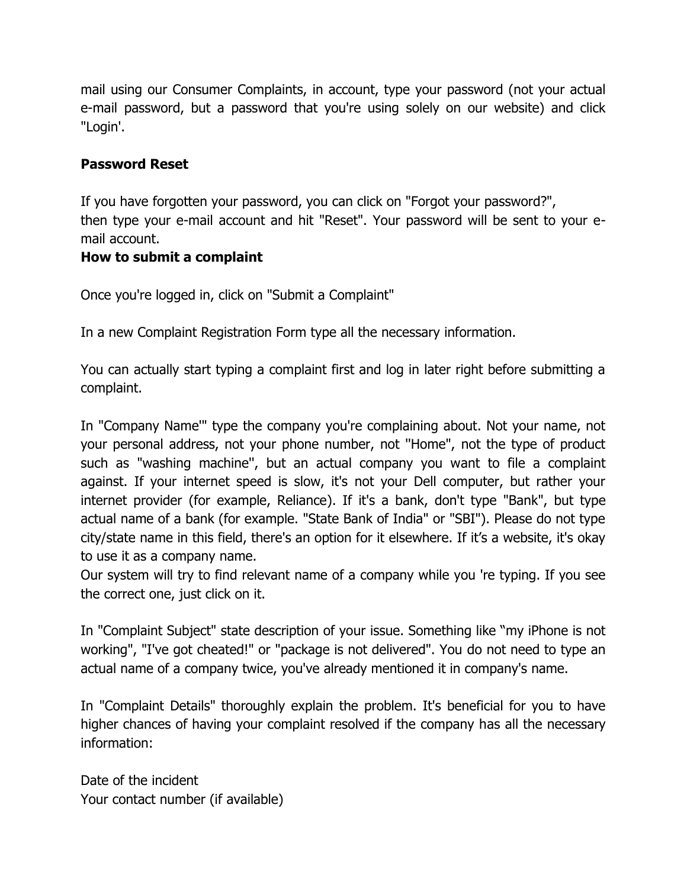mail using our Consumer Complaints, in account, type your password (not your actual e-mail password, but a password that you're using solely on our website) and click "Login'.

## **Password Reset**

If you have forgotten your password, you can click on "Forgot your password?", then type your e-mail account and hit "Reset". Your password will be sent to your email account.

#### **How to submit a complaint**

Once you're logged in, click on "Submit a Complaint"

In a new Complaint Registration Form type all the necessary information.

You can actually start typing a complaint first and log in later right before submitting a complaint.

In "Company Name'" type the company you're complaining about. Not your name, not your personal address, not your phone number, not ''Home", not the type of product such as "washing machine'', but an actual company you want to file a complaint against. If your internet speed is slow, it's not your Dell computer, but rather your internet provider (for example, Reliance). If it's a bank, don't type "Bank", but type actual name of a bank (for example. "State Bank of India" or "SBI"). Please do not type city/state name in this field, there's an option for it elsewhere. If it's a website, it's okay to use it as a company name.

Our system will try to find relevant name of a company while you 're typing. If you see the correct one, just click on it.

In "Complaint Subject" state description of your issue. Something like "my iPhone is not working", "I've got cheated!" or "package is not delivered". You do not need to type an actual name of a company twice, you've already mentioned it in company's name.

In "Complaint Details" thoroughly explain the problem. It's beneficial for you to have higher chances of having your complaint resolved if the company has all the necessary information:

Date of the incident Your contact number (if available)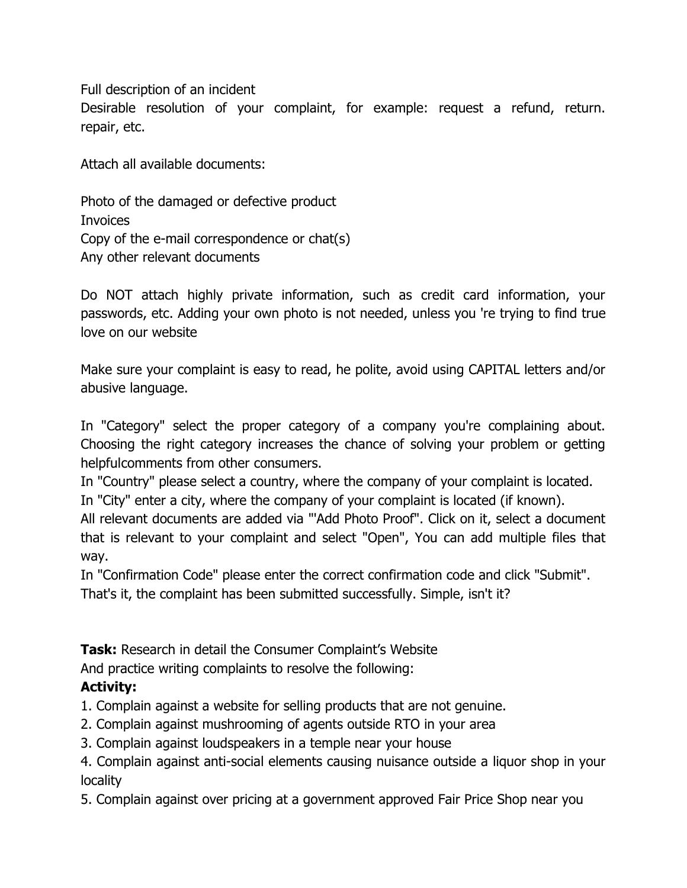Full description of an incident

Desirable resolution of your complaint, for example: request a refund, return. repair, etc.

Attach all available documents:

Photo of the damaged or defective product Invoices Copy of the e-mail correspondence or chat(s) Any other relevant documents

Do NOT attach highly private information, such as credit card information, your passwords, etc. Adding your own photo is not needed, unless you 're trying to find true love on our website

Make sure your complaint is easy to read, he polite, avoid using CAPITAL letters and/or abusive language.

In "Category" select the proper category of a company you're complaining about. Choosing the right category increases the chance of solving your problem or getting helpfulcomments from other consumers.

In "Country" please select a country, where the company of your complaint is located.

In "City" enter a city, where the company of your complaint is located (if known).

All relevant documents are added via "'Add Photo Proof". Click on it, select a document that is relevant to your complaint and select "Open", You can add multiple files that way.

In "Confirmation Code" please enter the correct confirmation code and click "Submit". That's it, the complaint has been submitted successfully. Simple, isn't it?

**Task:** Research in detail the Consumer Complaint's Website

And practice writing complaints to resolve the following:

## **Activity:**

1. Complain against a website for selling products that are not genuine.

- 2. Complain against mushrooming of agents outside RTO in your area
- 3. Complain against loudspeakers in a temple near your house

4. Complain against anti-social elements causing nuisance outside a liquor shop in your locality

5. Complain against over pricing at a government approved Fair Price Shop near you